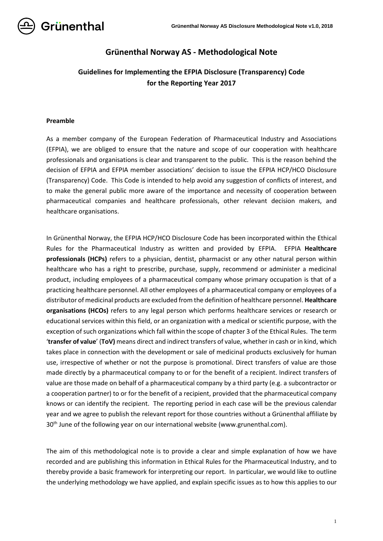

# **Grünenthal Norway AS - Methodological Note**

# **Guidelines for Implementing the EFPIA Disclosure (Transparency) Code for the Reporting Year 2017**

#### **Preamble**

As a member company of the European Federation of Pharmaceutical Industry and Associations (EFPIA), we are obliged to ensure that the nature and scope of our cooperation with healthcare professionals and organisations is clear and transparent to the public. This is the reason behind the decision of EFPIA and EFPIA member associations' decision to issue the EFPIA HCP/HCO Disclosure (Transparency) Code. This Code is intended to help avoid any suggestion of conflicts of interest, and to make the general public more aware of the importance and necessity of cooperation between pharmaceutical companies and healthcare professionals, other relevant decision makers, and healthcare organisations.

In Grünenthal Norway, the EFPIA HCP/HCO Disclosure Code has been incorporated within the Ethical Rules for the Pharmaceutical Industry as written and provided by EFPIA. EFPIA **Healthcare professionals (HCPs)** refers to a physician, dentist, pharmacist or any other natural person within healthcare who has a right to prescribe, purchase, supply, recommend or administer a medicinal product, including employees of a pharmaceutical company whose primary occupation is that of a practicing healthcare personnel. All other employees of a pharmaceutical company or employees of a distributor of medicinal products are excluded from the definition of healthcare personnel. **Healthcare organisations (HCOs)** refers to any legal person which performs healthcare services or research or educational services within this field, or an organization with a medical or scientific purpose, with the exception of such organizations which fall within the scope of chapter 3 of the Ethical Rules. The term '**transfer of value**' (**ToV)** means direct and indirect transfers of value, whether in cash or in kind, which takes place in connection with the development or sale of medicinal products exclusively for human use, irrespective of whether or not the purpose is promotional. Direct transfers of value are those made directly by a pharmaceutical company to or for the benefit of a recipient. Indirect transfers of value are those made on behalf of a pharmaceutical company by a third party (e.g. a subcontractor or a cooperation partner) to or for the benefit of a recipient, provided that the pharmaceutical company knows or can identify the recipient. The reporting period in each case will be the previous calendar year and we agree to publish the relevant report for those countries without a Grünenthal affiliate by 30<sup>th</sup> June of the following year on our international website (www.grunenthal.com).

The aim of this methodological note is to provide a clear and simple explanation of how we have recorded and are publishing this information in Ethical Rules for the Pharmaceutical Industry, and to thereby provide a basic framework for interpreting our report. In particular, we would like to outline the underlying methodology we have applied, and explain specific issues as to how this applies to our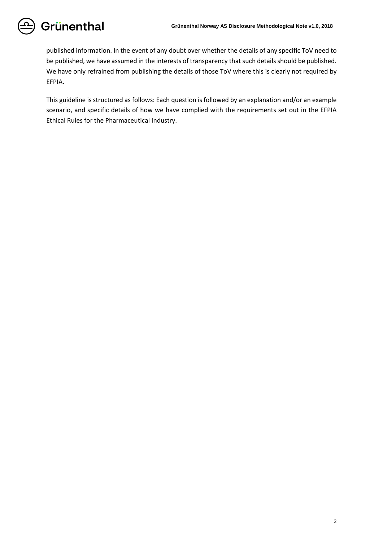published information. In the event of any doubt over whether the details of any specific ToV need to be published, we have assumed in the interests of transparency that such details should be published. We have only refrained from publishing the details of those ToV where this is clearly not required by EFPIA.

This guideline is structured as follows: Each question is followed by an explanation and/or an example scenario, and specific details of how we have complied with the requirements set out in the EFPIA Ethical Rules for the Pharmaceutical Industry.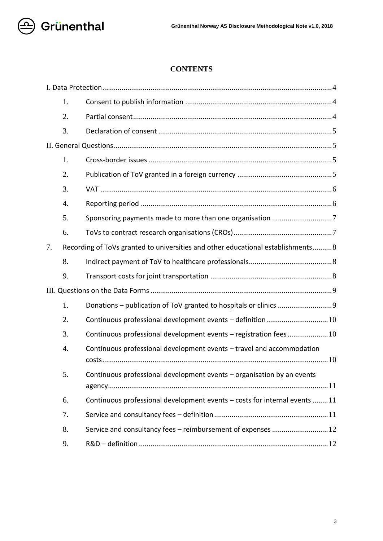

# **CONTENTS**

|    | 1.               |                                                                                 |
|----|------------------|---------------------------------------------------------------------------------|
|    | 2.               |                                                                                 |
|    | 3.               |                                                                                 |
| 7. |                  |                                                                                 |
|    | 1.               |                                                                                 |
|    | 2.               |                                                                                 |
|    | 3.               |                                                                                 |
|    | $\overline{4}$ . |                                                                                 |
|    | 5.               |                                                                                 |
|    | 6.               |                                                                                 |
|    |                  | Recording of ToVs granted to universities and other educational establishments8 |
|    | 8.               |                                                                                 |
|    |                  |                                                                                 |
|    | 9.               |                                                                                 |
|    |                  |                                                                                 |
|    | 1.               |                                                                                 |
|    | 2.               |                                                                                 |
|    | 3.               | Continuous professional development events - registration fees10                |
|    | 4.               | Continuous professional development events - travel and accommodation           |
|    | 5.               | Continuous professional development events - organisation by an events          |
|    | 6.               | Continuous professional development events - costs for internal events 11       |
|    | 7.               |                                                                                 |
|    | 8.               | Service and consultancy fees - reimbursement of expenses  12                    |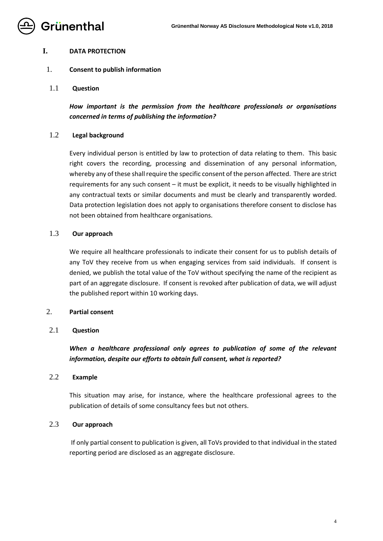

## <span id="page-3-0"></span>**I. DATA PROTECTION**

## <span id="page-3-1"></span>1. **Consent to publish information**

1.1 **Question**

*How important is the permission from the healthcare professionals or organisations concerned in terms of publishing the information?*

## 1.2 **Legal background**

Every individual person is entitled by law to protection of data relating to them. This basic right covers the recording, processing and dissemination of any personal information, whereby any of these shall require the specific consent of the person affected. There are strict requirements for any such consent – it must be explicit, it needs to be visually highlighted in any contractual texts or similar documents and must be clearly and transparently worded. Data protection legislation does not apply to organisations therefore consent to disclose has not been obtained from healthcare organisations.

## 1.3 **Our approach**

We require all healthcare professionals to indicate their consent for us to publish details of any ToV they receive from us when engaging services from said individuals. If consent is denied, we publish the total value of the ToV without specifying the name of the recipient as part of an aggregate disclosure. If consent is revoked after publication of data, we will adjust the published report within 10 working days.

## <span id="page-3-2"></span>2. **Partial consent**

## 2.1 **Question**

*When a healthcare professional only agrees to publication of some of the relevant information, despite our efforts to obtain full consent, what is reported?*

## 2.2 **Example**

This situation may arise, for instance, where the healthcare professional agrees to the publication of details of some consultancy fees but not others.

## 2.3 **Our approach**

If only partial consent to publication is given, all ToVs provided to that individual in the stated reporting period are disclosed as an aggregate disclosure.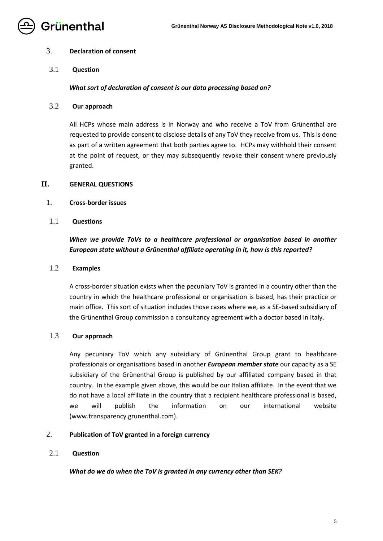

## <span id="page-4-0"></span>3. **Declaration of consent**

3.1 **Question**

## *What sort of declaration of consent is our data processing based on?*

3.2 **Our approach**

All HCPs whose main address is in Norway and who receive a ToV from Grünenthal are requested to provide consent to disclose details of any ToV they receive from us. This is done as part of a written agreement that both parties agree to. HCPs may withhold their consent at the point of request, or they may subsequently revoke their consent where previously granted.

## <span id="page-4-1"></span>**II. GENERAL QUESTIONS**

- <span id="page-4-2"></span>1. **Cross-border issues**
- 1.1 **Questions**

# *When we provide ToVs to a healthcare professional or organisation based in another European state without a Grünenthal affiliate operating in it, how is this reported?*

## 1.2 **Examples**

A cross-border situation exists when the pecuniary ToV is granted in a country other than the country in which the healthcare professional or organisation is based, has their practice or main office. This sort of situation includes those cases where we, as a SE-based subsidiary of the Grünenthal Group commission a consultancy agreement with a doctor based in Italy.

## 1.3 **Our approach**

Any pecuniary ToV which any subsidiary of Grünenthal Group grant to healthcare professionals or organisations based in another *European member state* our capacity as a SE subsidiary of the Grünenthal Group is published by our affiliated company based in that country. In the example given above, this would be our Italian affiliate. In the event that we do not have a local affiliate in the country that a recipient healthcare professional is based, we will publish the information on our international website (www.transparency.grunenthal.com).

## <span id="page-4-3"></span>2. **Publication of ToV granted in a foreign currency**

## 2.1 **Question**

## *What do we do when the ToV is granted in any currency other than SEK?*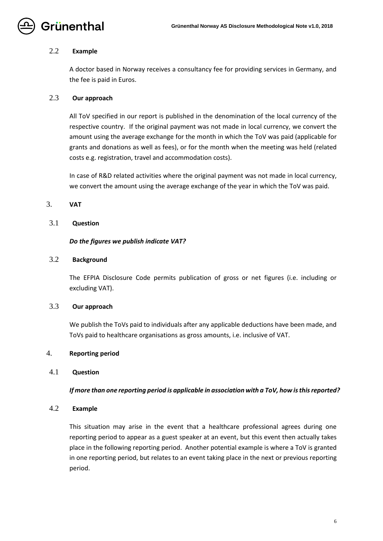

## 2.2 **Example**

A doctor based in Norway receives a consultancy fee for providing services in Germany, and the fee is paid in Euros.

## 2.3 **Our approach**

All ToV specified in our report is published in the denomination of the local currency of the respective country. If the original payment was not made in local currency, we convert the amount using the average exchange for the month in which the ToV was paid (applicable for grants and donations as well as fees), or for the month when the meeting was held (related costs e.g. registration, travel and accommodation costs).

In case of R&D related activities where the original payment was not made in local currency, we convert the amount using the average exchange of the year in which the ToV was paid.

## <span id="page-5-0"></span>3. **VAT**

## 3.1 **Question**

## *Do the figures we publish indicate VAT?*

## 3.2 **Background**

The EFPIA Disclosure Code permits publication of gross or net figures (i.e. including or excluding VAT).

## 3.3 **Our approach**

We publish the ToVs paid to individuals after any applicable deductions have been made, and ToVs paid to healthcare organisations as gross amounts, i.e. inclusive of VAT.

## <span id="page-5-1"></span>4. **Reporting period**

## 4.1 **Question**

## *If more than one reporting period is applicable in association with a ToV, how is this reported?*

## 4.2 **Example**

This situation may arise in the event that a healthcare professional agrees during one reporting period to appear as a guest speaker at an event, but this event then actually takes place in the following reporting period. Another potential example is where a ToV is granted in one reporting period, but relates to an event taking place in the next or previous reporting period.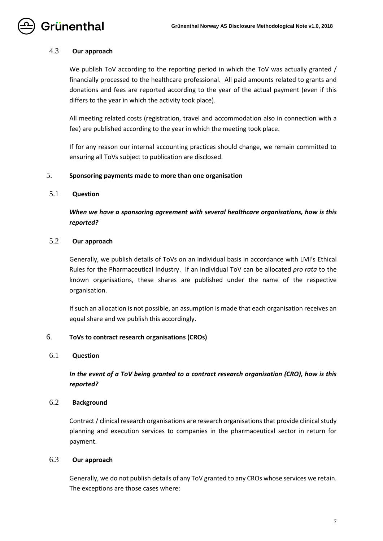

#### 4.3 **Our approach**

We publish ToV according to the reporting period in which the ToV was actually granted / financially processed to the healthcare professional. All paid amounts related to grants and donations and fees are reported according to the year of the actual payment (even if this differs to the year in which the activity took place).

All meeting related costs (registration, travel and accommodation also in connection with a fee) are published according to the year in which the meeting took place.

If for any reason our internal accounting practices should change, we remain committed to ensuring all ToVs subject to publication are disclosed.

#### <span id="page-6-0"></span>5. **Sponsoring payments made to more than one organisation**

## 5.1 **Question**

*When we have a sponsoring agreement with several healthcare organisations, how is this reported?*

## 5.2 **Our approach**

Generally, we publish details of ToVs on an individual basis in accordance with LMI's Ethical Rules for the Pharmaceutical Industry. If an individual ToV can be allocated *pro rata* to the known organisations, these shares are published under the name of the respective organisation.

If such an allocation is not possible, an assumption is made that each organisation receives an equal share and we publish this accordingly.

#### <span id="page-6-1"></span>6. **ToVs to contract research organisations (CROs)**

#### 6.1 **Question**

*In the event of a ToV being granted to a contract research organisation (CRO), how is this reported?*

#### 6.2 **Background**

Contract / clinical research organisations are research organisations that provide clinical study planning and execution services to companies in the pharmaceutical sector in return for payment.

## 6.3 **Our approach**

Generally, we do not publish details of any ToV granted to any CROs whose services we retain. The exceptions are those cases where: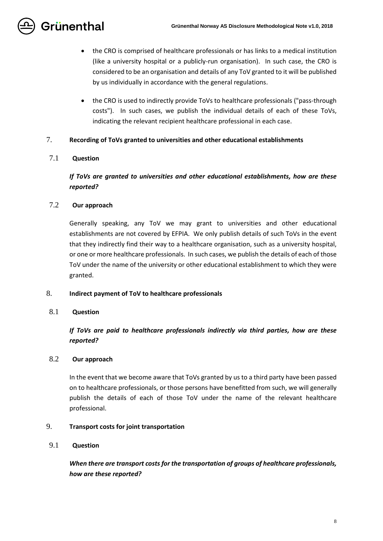

- the CRO is comprised of healthcare professionals or has links to a medical institution (like a university hospital or a publicly-run organisation). In such case, the CRO is considered to be an organisation and details of any ToV granted to it will be published by us individually in accordance with the general regulations.
- the CRO is used to indirectly provide ToVs to healthcare professionals ("pass-through costs"). In such cases, we publish the individual details of each of these ToVs, indicating the relevant recipient healthcare professional in each case.

## <span id="page-7-0"></span>7. **Recording of ToVs granted to universities and other educational establishments**

## 7.1 **Question**

# *If ToVs are granted to universities and other educational establishments, how are these reported?*

## 7.2 **Our approach**

Generally speaking, any ToV we may grant to universities and other educational establishments are not covered by EFPIA. We only publish details of such ToVs in the event that they indirectly find their way to a healthcare organisation, such as a university hospital, or one or more healthcare professionals. In such cases, we publish the details of each of those ToV under the name of the university or other educational establishment to which they were granted.

## <span id="page-7-1"></span>8. **Indirect payment of ToV to healthcare professionals**

## 8.1 **Question**

*If ToVs are paid to healthcare professionals indirectly via third parties, how are these reported?*

## 8.2 **Our approach**

In the event that we become aware that ToVs granted by us to a third party have been passed on to healthcare professionals, or those persons have benefitted from such, we will generally publish the details of each of those ToV under the name of the relevant healthcare professional.

## <span id="page-7-2"></span>9. **Transport costs for joint transportation**

## 9.1 **Question**

*When there are transport costs for the transportation of groups of healthcare professionals, how are these reported?*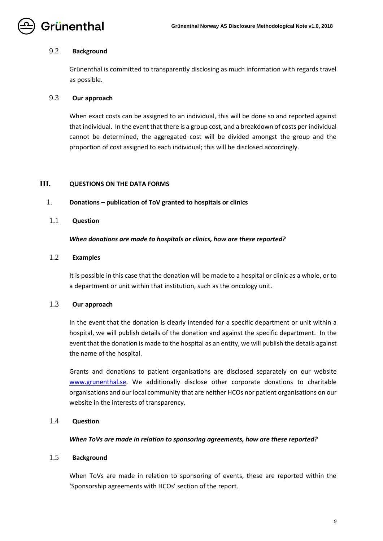

#### 9.2 **Background**

Grünenthal is committed to transparently disclosing as much information with regards travel as possible.

## 9.3 **Our approach**

When exact costs can be assigned to an individual, this will be done so and reported against that individual. In the event that there is a group cost, and a breakdown of costs per individual cannot be determined, the aggregated cost will be divided amongst the group and the proportion of cost assigned to each individual; this will be disclosed accordingly.

## <span id="page-8-0"></span>**III. QUESTIONS ON THE DATA FORMS**

#### <span id="page-8-1"></span>1. **Donations – publication of ToV granted to hospitals or clinics**

#### 1.1 **Question**

#### *When donations are made to hospitals or clinics, how are these reported?*

## 1.2 **Examples**

It is possible in this case that the donation will be made to a hospital or clinic as a whole, or to a department or unit within that institution, such as the oncology unit.

## 1.3 **Our approach**

In the event that the donation is clearly intended for a specific department or unit within a hospital, we will publish details of the donation and against the specific department. In the event that the donation is made to the hospital as an entity, we will publish the details against the name of the hospital.

Grants and donations to patient organisations are disclosed separately on our website [www.grunenthal.se.](http://www.grunenthal.se/) We additionally disclose other corporate donations to charitable organisations and our local community that are neither HCOs nor patient organisations on our website in the interests of transparency.

## 1.4 **Question**

#### *When ToVs are made in relation to sponsoring agreements, how are these reported?*

## 1.5 **Background**

When ToVs are made in relation to sponsoring of events, these are reported within the 'Sponsorship agreements with HCOs' section of the report.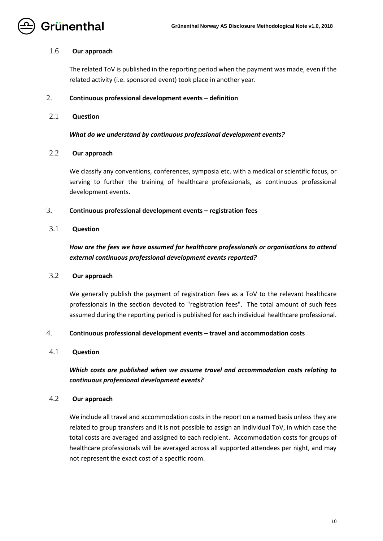

## 1.6 **Our approach**

The related ToV is published in the reporting period when the payment was made, even if the related activity (i.e. sponsored event) took place in another year.

## <span id="page-9-0"></span>2. **Continuous professional development events – definition**

## 2.1 **Question**

*What do we understand by continuous professional development events?*

## 2.2 **Our approach**

We classify any conventions, conferences, symposia etc. with a medical or scientific focus, or serving to further the training of healthcare professionals, as continuous professional development events.

## <span id="page-9-1"></span>3. **Continuous professional development events – registration fees**

## 3.1 **Question**

# *How are the fees we have assumed for healthcare professionals or organisations to attend external continuous professional development events reported?*

## 3.2 **Our approach**

We generally publish the payment of registration fees as a ToV to the relevant healthcare professionals in the section devoted to "registration fees". The total amount of such fees assumed during the reporting period is published for each individual healthcare professional.

## <span id="page-9-2"></span>4. **Continuous professional development events – travel and accommodation costs**

## 4.1 **Question**

# *Which costs are published when we assume travel and accommodation costs relating to continuous professional development events?*

## 4.2 **Our approach**

We include all travel and accommodation costs in the report on a named basis unless they are related to group transfers and it is not possible to assign an individual ToV, in which case the total costs are averaged and assigned to each recipient. Accommodation costs for groups of healthcare professionals will be averaged across all supported attendees per night, and may not represent the exact cost of a specific room.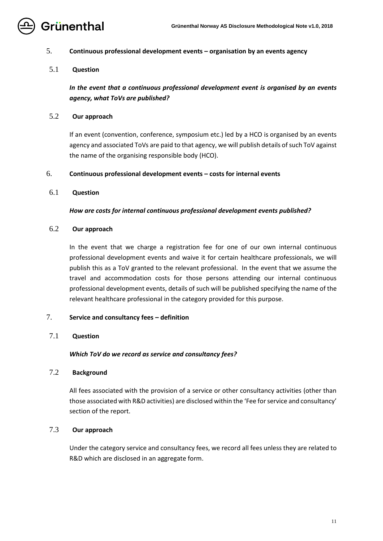

## <span id="page-10-0"></span>5. **Continuous professional development events – organisation by an events agency**

## 5.1 **Question**

*In the event that a continuous professional development event is organised by an events agency, what ToVs are published?*

## 5.2 **Our approach**

If an event (convention, conference, symposium etc.) led by a HCO is organised by an events agency and associated ToVs are paid to that agency, we will publish details of such ToV against the name of the organising responsible body (HCO).

## <span id="page-10-1"></span>6. **Continuous professional development events – costs for internal events**

## 6.1 **Question**

## *How are costs for internal continuous professional development events published?*

## 6.2 **Our approach**

In the event that we charge a registration fee for one of our own internal continuous professional development events and waive it for certain healthcare professionals, we will publish this as a ToV granted to the relevant professional. In the event that we assume the travel and accommodation costs for those persons attending our internal continuous professional development events, details of such will be published specifying the name of the relevant healthcare professional in the category provided for this purpose.

## <span id="page-10-2"></span>7. **Service and consultancy fees – definition**

## 7.1 **Question**

## *Which ToV do we record as service and consultancy fees?*

## 7.2 **Background**

All fees associated with the provision of a service or other consultancy activities (other than those associated with R&D activities) are disclosed within the 'Fee for service and consultancy' section of the report.

## 7.3 **Our approach**

Under the category service and consultancy fees, we record all fees unless they are related to R&D which are disclosed in an aggregate form.